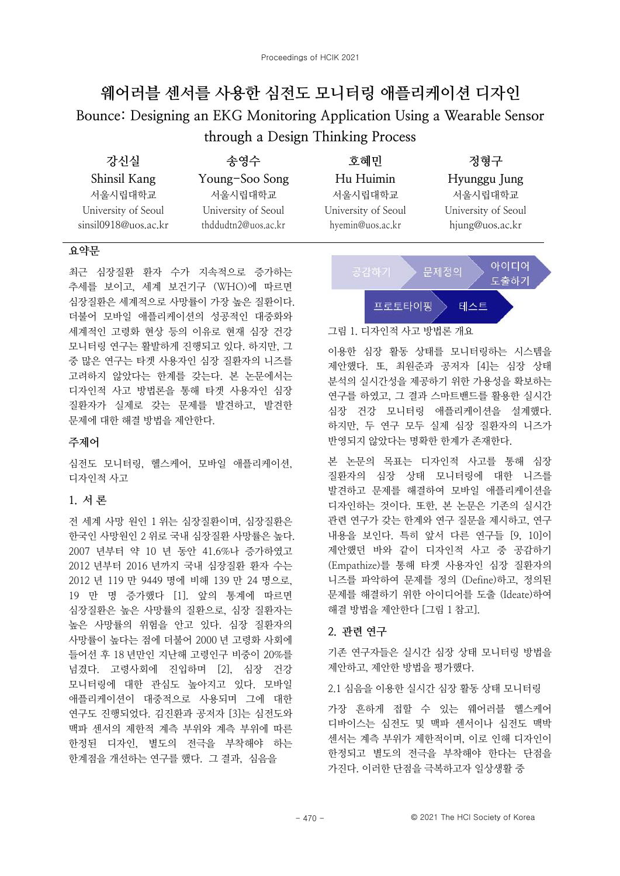# 웨어러블 센서를 사용한 심전도 모니터링 애플리케이션 디자인 Bounce: Designing an EKG Monitoring Application Using a Wearable Sensor through a Design Thinking Process

| 강신실                                         | 송영수                                        | 호혜민                                     | 정형구                                    |
|---------------------------------------------|--------------------------------------------|-----------------------------------------|----------------------------------------|
| Shinsil Kang                                | Young-Soo Song                             | Hu Huimin                               | Hyunggu Jung                           |
| 서울시립대학교                                     | 서울시립대학교                                    | 서울시립대학교                                 | 서울시립대학교                                |
| University of Seoul<br>sinsil0918@uos.ac.kr | University of Seoul<br>thddudtn2@uos.ac.kr | University of Seoul<br>hyemin@uos.ac.kr | University of Seoul<br>hjung@uos.ac.kr |

# 요약문

최근 심장질환 환자 수가 지속적으로 증가하는 추세를 보이고, 세계 보건기구 (WHO)에 따르면 심장질환은 세계적으로 사망률이 가장 높은 질환이다. 더불어 모바일 애플리케이션의 성공적인 대중화와 세계적인 고령화 현상 등의 이유로 현재 심장 건강 모니터링 연구는 활발하게 진행되고 있다. 하지만, 그 중 많은 연구는 타겟 사용자인 심장 질환자의 니즈를 고려하지 않았다는 한계를 갖는다. 본 논문에서는 디자인적 사고 방법론을 통해 타겟 사용자인 심장 질환자가 실제로 갖는 문제를 발견하고, 발견한 문제에 대한 해결 방법을 제안한다.

# 주제어

심전도 모니터링, 헬스케어, 모바일 애플리케이션, 디자인적 사고

# 1. 서론

전 세계 사망 원인 1 위는 심장질환이며, 심장질환은 한국인 사망원인 2 위로 국내 심장질환 사망률은 높다. 2007 년부터 약 10 년 동안 41.6%나 증가하였고 2012 년부터 2016 년까지 국내 심장질환 환자 수는 2012 년 119 만 9449 명에 비해 139 만 24 명으로, 19 만 명 증가했다 [1]. 앞의 통계에 따르면 심장질화은 높은 사망률의 질화으로 심장 질화자는 높은 사망률의 위험을 안고 있다. 심장 질환자의 사망률이 높다는 점에 더불어 2000 년 고령화 사회에 들어선 후 18 년만인 지난해 고령인구 비중이 20%를 넘겼다. 고령사회에 진입하며 [2]. 심장 건강 모니터링에 대한 관심도 높아지고 있다. 모바일 애플리케이션이 대중적으로 사용되며 그에 대한 연구도 진행되었다. 김진환과 공저자 [3]는 심전도와 맥파 센서의 제한적 계측 부위와 계측 부위에 따른 한정된 디자인, 별도의 전극을 부착해야 하는 한계점을 개선하는 연구를 했다. 그 결과, 심음을



### 그림 1. 디자인적 사고 방법론 개요

이용한 심장 활동 상태를 모니터링하는 시스템을 제안했다. 또, 최원준과 공저자 [4]는 심장 상태 분석의 실시간성을 제공하기 위한 가용성을 확보하는 연구를 하였고, 그 결과 스마트밴드를 활용한 실시간 심장 건강 모니터링 애플리케이션을 설계했다. 하지만, 두 연구 모두 실제 심장 질환자의 니즈가 반영되지 않았다는 명확한 한계가 존재한다.

본 논문의 목표는 디자인적 사고를 통해 심장 질환자의 심장 상태 모니터링에 대한 니즈를 발견하고 문제를 해결하여 모바일 애플리케이션을 디자인하는 것이다. 또한, 본 논문은 기존의 실시간 관련 연구가 갖는 한계와 연구 질문을 제시하고, 연구 내용을 보인다. 특히 앞서 다른 연구들 [9, 10]이 제안했던 바와 같이 디자인적 사고 중 공감하기 (Empathize)를 통해 타겟 사용자인 심장 질환자의 니즈를 파악하여 문제를 정의 (Define)하고, 정의된 문제를 해결하기 위한 아이디어를 도출 (Ideate)하여 해결 방법을 제안한다 [그림 1 참고].

# 2. 관련 연구

기존 연구자들은 실시간 심장 상태 모니터링 방법을 제안하고, 제안한 방법을 평가했다.

2.1 심음을 이용한 실시간 심장 활동 상태 모니터링

가장 흔하게 접할 수 있는 웨어러블 헬스케어 디바이스는 심전도 및 맥파 센서이나 심전도 맥박 센서는 계측 부위가 제한적이며, 이로 인해 디자인이 한정되고 별도의 전극을 부착해야 한다는 단점을 가진다. 이러한 단점을 극복하고자 일상생활 중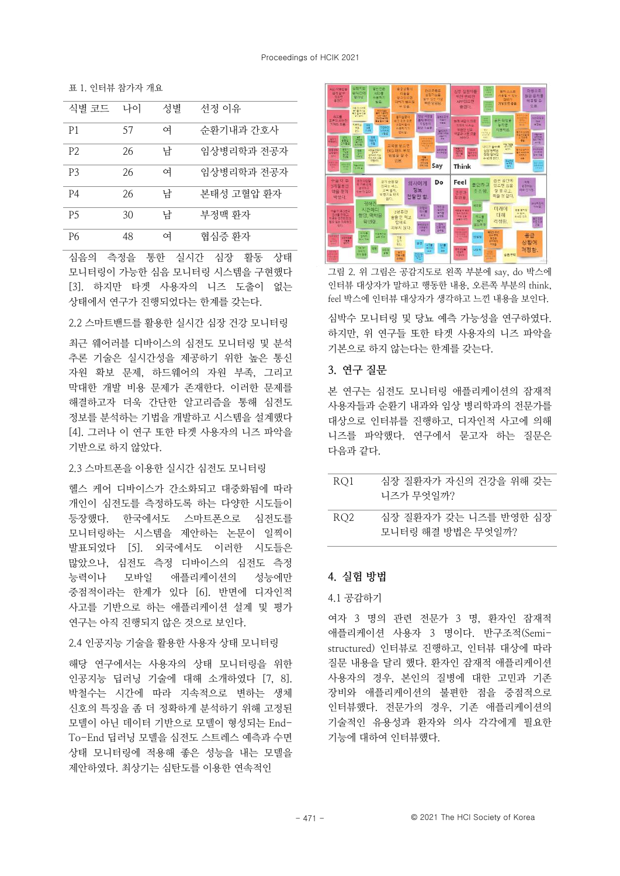표 1 인터뷰 참가자 개요

| 식별 코드          | 나이 | 성별 | 선정 이유      |
|----------------|----|----|------------|
| P1             | 57 | 여  | 순환기내과 간호사  |
| P <sub>2</sub> | 26 | 남  | 임상병리학과 전공자 |
| P3             | 26 | 여  | 임상병리학과 전공자 |
| P4             | 26 | 남  | 본태성 고혈압 환자 |
| P5             | 30 | 남  | 부정맥 화자     |
| P6             | 48 | 여  | 협심증 환자     |

심음의 측정을 통한 실시간 심장 활동 상태 모니터링이 가능한 심음 모니터링 시스템을 구현했다 [3]. 하지만 타겟 사용자의 니즈 도출이 없는 상태에서 연구가 진행되었다는 한계를 갖는다.

2.2 스마트밴드를 활용한 실시간 심장 건강 모니터링

최근 웨어러블 디바이스의 심전도 모니터링 및 분석 추론 기술은 실시간성을 제공하기 위한 높은 통신 자원 확보 문제, 하드웨어의 자원 부족, 그리고 막대한 개발 비용 문제가 존재한다. 이러한 문제를 해결하고자 더욱 간단한 알고리즘을 통해 심전도 정보를 부석하는 기법을 개발하고 시스템을 설계했다 [4]. 그러나 이 연구 또한 타겟 사용자의 니즈 파악을 기반으로 하지 않았다.

#### 2.3 스마트폰을 이용한 실시간 심전도 모니터링

헬스 케어 디바이스가 간소화되고 대중화됨에 따라 개인이 심전도를 측정하도록 하는 다양한 시도들이 등장했다. 한국에서도 스마트폰으로 심전도를 모니터링하는 시스템을 제안하는 논문이 일찍이 발표되었다 [5]. 외국에서도 이러한 시도들은 많았으나, 심전도 측정 디바이스의 심전도 측정 능력이나 모바일 애플리케이션의 성늦에만 중점적이라는 한계가 있다 [6]. 반면에 디자인적 사고를 기반으로 하는 애플리케이션 설계 및 평가 연구는 아직 진행되지 않은 것으로 보인다.

# 2.4 인공지능 기술을 활용한 사용자 상태 모니터링

해당 연구에서는 사용자의 상태 모니터링을 위한 인공지능 딥러닝 기술에 대해 소개하였다 [7, 8]. 박철수는 시간에 따라 지속적으로 변하는 생체 신호의 특징을 좀 더 정확하게 분석하기 위해 고정된 모델이 아닌 데이터 기반으로 모델이 형성되는 End-To-End 딥러닝 모델을 심전도 스트레스 예측과 수면 상태 모니터링에 적용해 좋은 성능을 내는 모델을 제안하였다. 최상기는 심탄도를 이용한 연속적인



그림 2. 위 그림은 공감지도로 왼쪽 부분에 sav. do 박스에 인터뷰 대상자가 말하고 행동한 내용, 오른쪽 부분의 think, feel 박스에 인터뷰 대상자가 생각하고 느낀 내용을 보인다.

심박수 모니터링 및 당뇨 예측 가능성을 연구하였다. 하지만, 위 연구들 또한 타겟 사용자의 니즈 파악을 기본으로 하지 않는다는 한계를 갖는다.

# 3. 연구 질문

본 연구는 심전도 모니터링 애플리케이션의 잠재적 사용자들과 수화기 내과와 임상 병리학과의 전문가를 대상으로 인터뷰를 진행하고, 디자인적 사고에 의해 니즈를 파악했다. 연구에서 묻고자 하는 질문은 다음과 같다.

| RO1             | 심장 질환자가 자신의 건강을 위해 갖는<br>니즈가 무엇일까?         |
|-----------------|--------------------------------------------|
| RO <sub>2</sub> | 심장 질환자가 갖는 니즈를 반영한 심장<br>모니터링 해결 방법은 무엇일까? |

#### 4. 실험 밧법

#### 4.1 공감하기

여자 3 명의 관련 전문가 3 명, 환자인 잠재적 애플리케이션 사용자 3 명이다. 반구조적(Semistructured) 인터뷰로 진행하고, 인터뷰 대상에 따라 질문 내용을 달리 했다. 환자인 잠재적 애플리케이션 사용자의 경우, 본인의 질병에 대한 고민과 기존 장비와 애플리케이션의 불편한 점을 중점적으로 인터뷰했다. 전문가의 경우, 기존 애플리케이션의 기술적인 유용성과 환자와 의사 각각에게 필요한 기능에 대하여 인터뷰했다.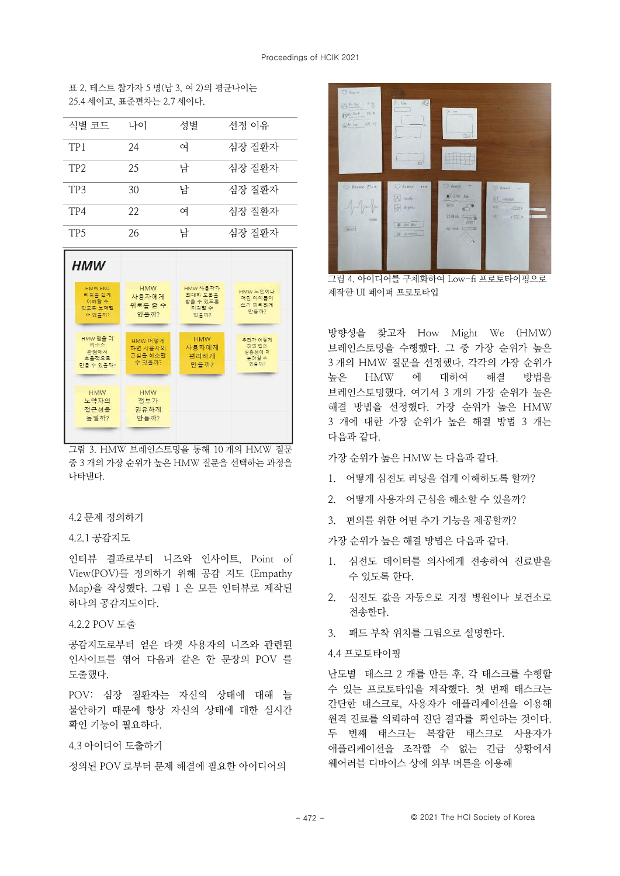표 2 테스트 참가자 5 명(남 3 여 2)의 평규나이는 25.4 세이고, 표준편차는 2.7 세이다.

| 식별 코드           | 나이 | 성별 | 선정 이유  |
|-----------------|----|----|--------|
| TP <sub>1</sub> | 24 | 여  | 심장 질환자 |
| TP <sub>2</sub> | 25 | 남  | 심장 질환자 |
| TP3             | 30 | 남  | 심장 질환자 |
| TP4             | 22 | 여  | 심장 질환자 |
| TP <sub>5</sub> | 26 | 남  | 심장 질환자 |



그림 3. HMW 브레인스토밍을 통해 10 개의 HMW 질문 중 3 개의 가장 순위가 높은 HMW 질문을 선택하는 과정을 나타내다.

## 4.2 문제 정의하기

#### 421공감지도

인터뷰 결과로부터 니즈와 인사이트, Point of View(POV)를 정의하기 위해 공감 지도 (Empathy Map)을 작성했다. 그림 1 은 모든 인터뷰로 제작된 하나의 공감지도이다.

#### 4.2.2 POV 도출

공감지도로부터 얻은 타겟 사용자의 니즈와 관련되 인사이트를 엮어 다음과 같은 한 문장의 POV 를 도출했다.

POV: 심장 질환자는 자신의 상태에 대해 늘 불안하기 때문에 항상 자신의 상태에 대한 실시간 확인 기능이 필요하다.

# 4.3 아이디어 도출하기

정의된 POV 로부터 문제 해결에 필요한 아이디어의



그림 4. 아이디어를 구체화하여 Low-fi 프로토타이핑으로 제작한 UI 페이퍼 프로토타입

방향성을 찾고자 How Might We (HMW) 브레인스토밍을 수행했다. 그 중 가장 순위가 높은 3 개의 HMW 질문을 선정했다. 각각의 가장 순위가 높은 HMW 에 대하여 해결 방법을 브레인스토밍했다. 여기서 3 개의 가장 순위가 높은 해결 방법을 선정했다. 가장 순위가 높은 HMW 3 개에 대한 가장 순위가 높은 해결 방법 3 개는 다음과 같다.

가장 순위가 높은 HMW 는 다음과 같다.

- 1. 어떻게 심전도 리딩을 쉽게 이해하도록 할까?
- 2. 어떻게 사용자의 근심을 해소할 수 있을까?
- 3. 편의를 위한 어떤 추가 기능을 제공할까?

가장 수위가 높은 해결 방법은 다음과 같다

- 1. 심전도 데이터를 의사에게 전송하여 진료받을 수 있도록 한다.
- 2. 심전도 값을 자동으로 지정 병원이나 보건소로 전송한다.
- 3. 패드 부착 위치를 그림으로 설명하다.

#### 4.4 프로토타이핑

난도별 태스크 2 개를 만든 후, 각 태스크를 수행할 수 있는 프로토타입을 제작했다. 첫 번째 태스크는 간단한 태스크로 사용자가 애플리케이션을 이용해 원격 진료를 의뢰하여 진단 결과를 확인하는 것이다. 두 번째 태스크는 복잡한 태스크로 사용자가 애플리케이션을 조작할 수 없는 긴급 상황에서 웨어러블 디바이스 상에 외부 버튼을 이용해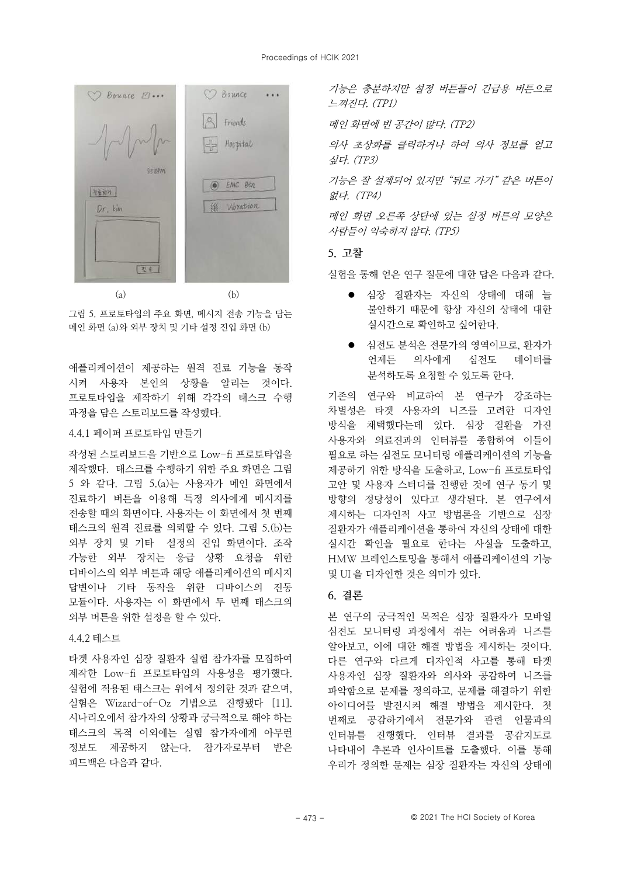

그림 5. 프로토타입의 주요 화면, 메시지 전송 기능을 담는 메인 화면 (a)와 외부 장치 및 기타 설정 지입 화면 (b)

애플리케이션이 제공하는 원격 진료 기능을 동작 시켜 사용자 본인의 상황을 알리는 것이다. 프로토타입을 제작하기 위해 각각의 태스크 수행 과정을 담은 스토리보드를 작성했다.

#### 4.4.1 페이퍼 프로토타입 만들기

작성된 스토리보드을 기반으로 Low-fi 프로토타입을 제작했다. 태스크를 수행하기 위한 주요 화면은 그림 5 와 같다. 그림 5.(a)는 사용자가 메인 화면에서 진료하기 버튼을 이용해 특정 의사에게 메시지를 전송할 때의 화면이다. 사용자는 이 화면에서 첫 번째 태스크의 원격 진료를 의뢰할 수 있다. 그림 5.(b)는 외부 장치 및 기타 설정의 진입 화면이다. 조작 가능한 외부 장치는 응급 상황 요청을 위한 디바이스의 외부 버튼과 해당 애플리케이션의 메시지 답변이나 기타 동작을 위한 디바이스의 진동 모듈이다. 사용자는 이 화면에서 두 번째 태스크의 외부 버튼을 위한 설정을 할 수 있다.

# 4.4.2 테스트

타겟 사용자인 심장 질환자 실험 참가자를 모집하여 제작한 Low-fi 프로토타입의 사용성을 평가했다. 실험에 적용된 태스크는 위에서 정의한 것과 같으며. 실험은 Wizard-of-Oz 기법으로 진행됐다 [11] 시나리오에서 참가자의 상황과 궁극적으로 해야 하는 태스크의 목적 이외에는 실험 참가자에게 아무런 정보도 제공하지 않는다 참가자로부터 받은 피드백은 다음과 같다.

기능은 충분하지만 설정 버튼들이 긴급용 버튼으로 느껴진다. (TP1)

메인 화면에 빈 공간이 많다. (TP2)

의사 초상화를 클릭하거나 하여 의사 정보를 얻고 싶다.  $(TP3)$ 

기능은 잘 설계되어 있지만 "뒤로 가기" 같은 버튼이 없다.  $(TP4)$ 

메인 화면 오른쪽 상단에 있는 설정 버튼의 모양은 사람들이 의숙하지 않다 (TP5)

#### 5. 고찰

실험을 통해 얻은 연구 질문에 대한 답은 다음과 같다.

- 심장 질화자는 자신의 상태에 대해 늘 불안하기 때문에 항상 자신의 상태에 대한 실시간으로 확인하고 싶어하다.
- 심전도 분석은 전문가의 영역이므로, 환자가 언제든 의사에게 심전도 데이터를 분석하도록 요청할 수 있도록 한다.

기존의 연구와 비교하여 본 연구가 강조하는 차별성은 타겟 사용자의 니즈를 고려한 디자인 방식을 채택했다는데 있다. 심장 질환을 가진 사용자와 의료진과의 인터뷰를 종합하여 이들이 필요로 하는 심전도 모니터링 애플리케이션의 기능을 제공하기 위한 방식을 도출하고, Low-fi 프로토타입 고안 및 사용자 스터디를 진행한 것에 연구 동기 및 방향의 정당성이 있다고 생각된다. 본 연구에서 제시하는 디자인적 사고 방법론을 기반으로 심장 질화자가 애플리케이션을 통하여 자신의 상태에 대한 실시간 확인을 필요로 한다는 사실을 도출하고. HMW 브레인스토밍을 통해서 애플리케이션의 기능 및 UI 을 디자인한 것은 의미가 있다.

# 6. 결론

본 연구의 궁극적인 목적은 심장 질환자가 모바일 심전도 모니터링 과정에서 겪는 어려움과 니즈를 알아보고 이에 대한 해결 밧법을 제시하는 것이다. 다른 연구와 다르게 디자인적 사고를 통해 타겟 사용자인 심장 질환자와 의사와 공감하여 니즈를 파악함으로 문제를 정의하고, 문제를 해결하기 위한 아이디어를 발전시켜 해결 방법을 제시한다. 첫 번째로 공감하기에서 전문가와 관련 인물과의 인터뷰를 진행했다. 인터뷰 결과를 공감지도로 나타내어 추론과 인사이트를 도출했다. 이를 통해 우리가 정의한 문제는 심장 질환자는 자신의 상태에